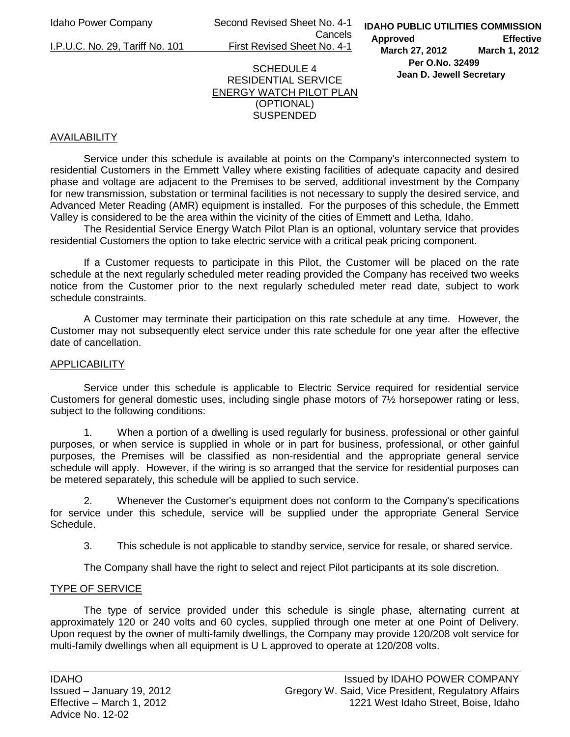Idaho Power Company Second Revised Sheet No. 4-1 Cancels

I.P.U.C. No. 29, Tariff No. 101 First Revised Sheet No. 4-1

## SCHEDULE 4 RESIDENTIAL SERVICE ENERGY WATCH PILOT PLAN (OPTIONAL) **SUSPENDED**

# AVAILABILITY

 Service under this schedule is available at points on the Company's interconnected system to residential Customers in the Emmett Valley where existing facilities of adequate capacity and desired phase and voltage are adjacent to the Premises to be served, additional investment by the Company for new transmission, substation or terminal facilities is not necessary to supply the desired service, and Advanced Meter Reading (AMR) equipment is installed. For the purposes of this schedule, the Emmett Valley is considered to be the area within the vicinity of the cities of Emmett and Letha, Idaho.

 The Residential Service Energy Watch Pilot Plan is an optional, voluntary service that provides residential Customers the option to take electric service with a critical peak pricing component.

If a Customer requests to participate in this Pilot, the Customer will be placed on the rate schedule at the next regularly scheduled meter reading provided the Company has received two weeks notice from the Customer prior to the next regularly scheduled meter read date, subject to work schedule constraints.

 A Customer may terminate their participation on this rate schedule at any time. However, the Customer may not subsequently elect service under this rate schedule for one year after the effective date of cancellation.

## **APPLICABILITY**

 Service under this schedule is applicable to Electric Service required for residential service Customers for general domestic uses, including single phase motors of 7½ horsepower rating or less, subject to the following conditions:

1. When a portion of a dwelling is used regularly for business, professional or other gainful purposes, or when service is supplied in whole or in part for business, professional, or other gainful purposes, the Premises will be classified as non-residential and the appropriate general service schedule will apply. However, if the wiring is so arranged that the service for residential purposes can be metered separately, this schedule will be applied to such service.

2. Whenever the Customer's equipment does not conform to the Company's specifications for service under this schedule, service will be supplied under the appropriate General Service Schedule.

3. This schedule is not applicable to standby service, service for resale, or shared service.

The Company shall have the right to select and reject Pilot participants at its sole discretion.

## TYPE OF SERVICE

 The type of service provided under this schedule is single phase, alternating current at approximately 120 or 240 volts and 60 cycles, supplied through one meter at one Point of Delivery. Upon request by the owner of multi-family dwellings, the Company may provide 120/208 volt service for multi-family dwellings when all equipment is U L approved to operate at 120/208 volts.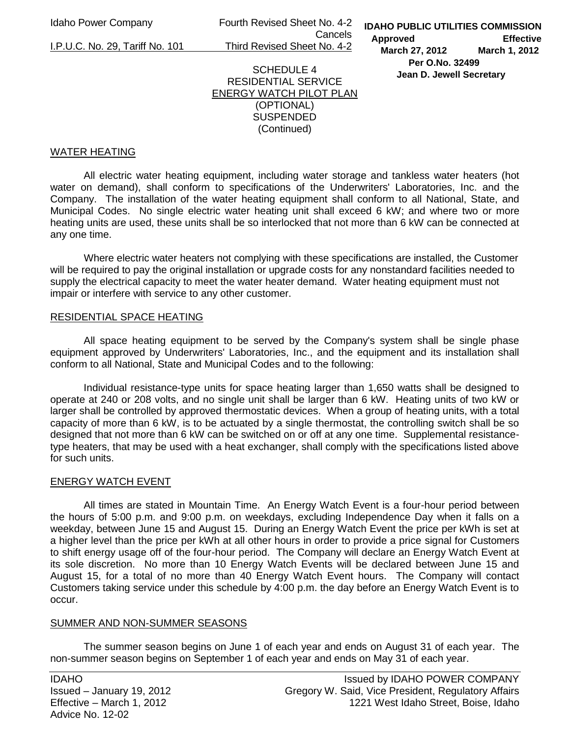Idaho Power Company Fourth Revised Sheet No. 4-2 Cancels I.P.U.C. No. 29, Tariff No. 101 Third Revised Sheet No. 4-2

**IDAHO PUBLIC UTILITIES COMMISSION Approved Effective March 27, 2012 March 1, 2012 Per O.No. 32499 Jean D. Jewell Secretary** 

## SCHEDULE 4 RESIDENTIAL SERVICE ENERGY WATCH PILOT PLAN (OPTIONAL) SUSPENDED (Continued)

## WATER HEATING

 All electric water heating equipment, including water storage and tankless water heaters (hot water on demand), shall conform to specifications of the Underwriters' Laboratories, Inc. and the Company. The installation of the water heating equipment shall conform to all National, State, and Municipal Codes. No single electric water heating unit shall exceed 6 kW; and where two or more heating units are used, these units shall be so interlocked that not more than 6 kW can be connected at any one time.

Where electric water heaters not complying with these specifications are installed, the Customer will be required to pay the original installation or upgrade costs for any nonstandard facilities needed to supply the electrical capacity to meet the water heater demand. Water heating equipment must not impair or interfere with service to any other customer.

## RESIDENTIAL SPACE HEATING

 All space heating equipment to be served by the Company's system shall be single phase equipment approved by Underwriters' Laboratories, Inc., and the equipment and its installation shall conform to all National, State and Municipal Codes and to the following:

 Individual resistance-type units for space heating larger than 1,650 watts shall be designed to operate at 240 or 208 volts, and no single unit shall be larger than 6 kW. Heating units of two kW or larger shall be controlled by approved thermostatic devices. When a group of heating units, with a total capacity of more than 6 kW, is to be actuated by a single thermostat, the controlling switch shall be so designed that not more than 6 kW can be switched on or off at any one time. Supplemental resistancetype heaters, that may be used with a heat exchanger, shall comply with the specifications listed above for such units.

## ENERGY WATCH EVENT

 All times are stated in Mountain Time. An Energy Watch Event is a four-hour period between the hours of 5:00 p.m. and 9:00 p.m. on weekdays, excluding Independence Day when it falls on a weekday, between June 15 and August 15. During an Energy Watch Event the price per kWh is set at a higher level than the price per kWh at all other hours in order to provide a price signal for Customers to shift energy usage off of the four-hour period. The Company will declare an Energy Watch Event at its sole discretion. No more than 10 Energy Watch Events will be declared between June 15 and August 15, for a total of no more than 40 Energy Watch Event hours. The Company will contact Customers taking service under this schedule by 4:00 p.m. the day before an Energy Watch Event is to occur.

#### SUMMER AND NON-SUMMER SEASONS

 The summer season begins on June 1 of each year and ends on August 31 of each year. The non-summer season begins on September 1 of each year and ends on May 31 of each year.